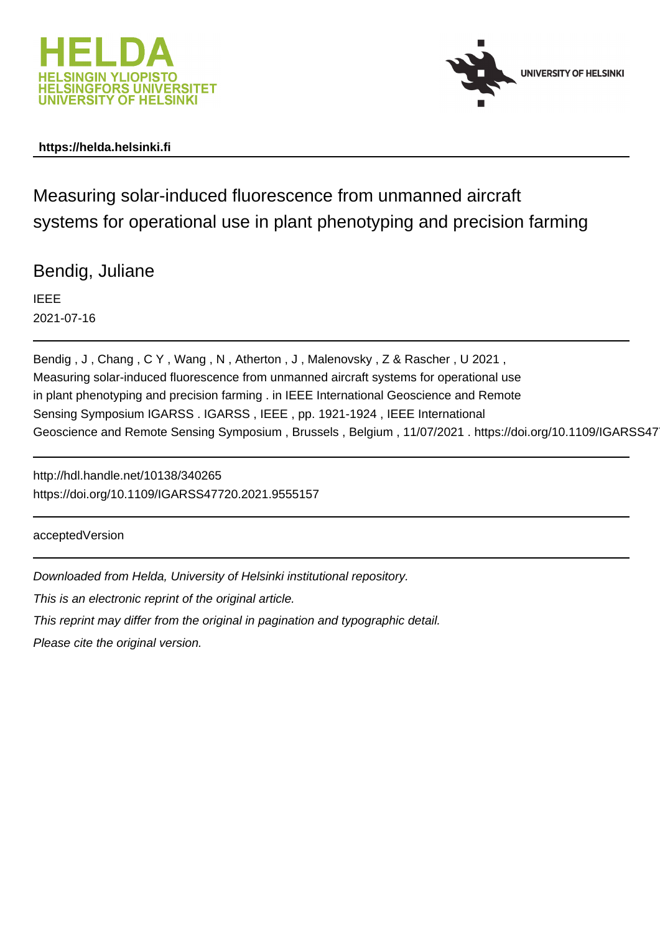



# **https://helda.helsinki.fi**

Measuring solar-induced fluorescence from unmanned aircraft systems for operational use in plant phenotyping and precision farming

Bendig, Juliane

IEEE 2021-07-16

Bendig , J , Chang , C Y , Wang , N , Atherton , J , Malenovsky , Z & Rascher , U 2021 , Measuring solar-induced fluorescence from unmanned aircraft systems for operational use in plant phenotyping and precision farming . in IEEE International Geoscience and Remote Sensing Symposium IGARSS . IGARSS , IEEE , pp. 1921-1924 , IEEE International Geoscience and Remote Sensing Symposium, Brussels, Belgium, 11/07/2021. https://doi.org/10.1109/IGARSS47

http://hdl.handle.net/10138/340265 https://doi.org/10.1109/IGARSS47720.2021.9555157

acceptedVersion

Downloaded from Helda, University of Helsinki institutional repository.

This is an electronic reprint of the original article.

This reprint may differ from the original in pagination and typographic detail.

Please cite the original version.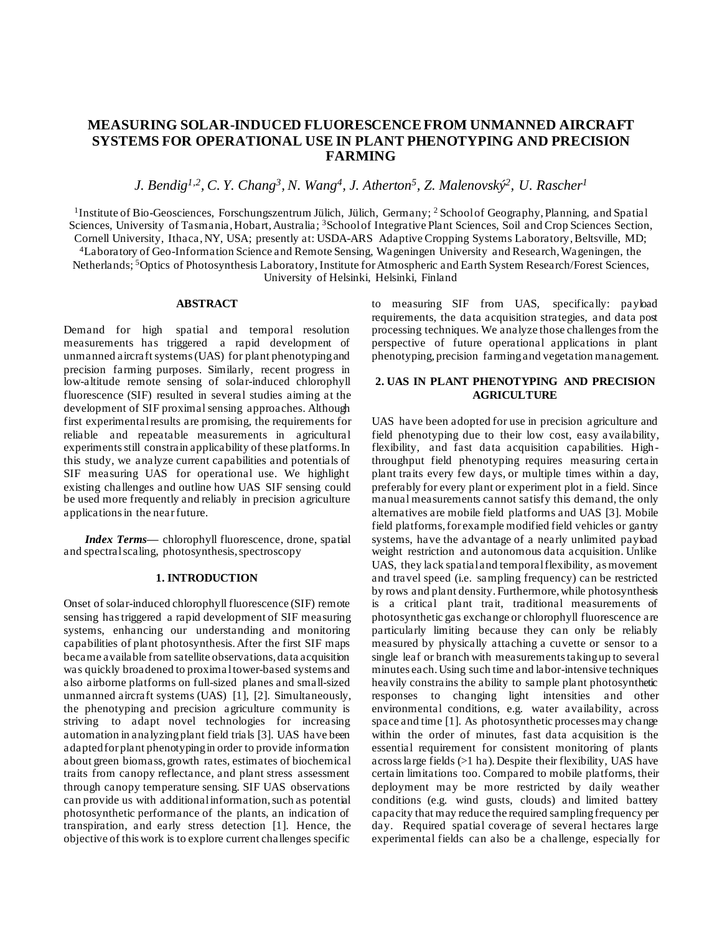## **MEASURING SOLAR-INDUCED FLUORESCENCE FROM UNMANNED AIRCRAFT SYSTEMS FOR OPERATIONAL USE IN PLANT PHENOTYPING AND PRECISION FARMING**

*J. Bendig1,2 , C. Y. Chang<sup>3</sup> , N. Wang<sup>4</sup> , J. Atherton<sup>5</sup> , Z. Malenovský 2 , U. Rascher<sup>1</sup>*

<sup>1</sup>Institute of Bio-Geosciences, Forschungszentrum Jülich, Jülich, Germany; <sup>2</sup> School of Geography, Planning, and Spatial Sciences, University of Tasmania, Hobart, Australia; <sup>3</sup>School of Integrative Plant Sciences, Soil and Crop Sciences Section, Cornell University, Ithaca, NY, USA; presently at: USDA-ARS Adaptive Cropping Systems Laboratory, Beltsville, MD; <sup>4</sup>Laboratory of Geo-Information Science and Remote Sensing, Wageningen University and Research, Wageningen, the Netherlands; <sup>5</sup>Optics of Photosynthesis Laboratory, Institute for Atmospheric and Earth System Research/Forest Sciences,

University of Helsinki, Helsinki, Finland

#### **ABSTRACT**

Demand for high spatial and temporal resolution measurements has triggered a rapid development of unmanned aircraft systems (UAS) for plant phenotyping and precision farming purposes. Similarly, recent progress in low-altitude remote sensing of solar-induced chlorophyll fluorescence (SIF) resulted in several studies aiming at the development of SIF proximal sensing approaches. Although first experimental results are promising, the requirements for reliable and repeatable measurements in agricultural experiments still constrain applicability of these platforms. In this study, we analyze current capabilities and potentials of SIF measuring UAS for operational use. We highlight existing challenges and outline how UAS SIF sensing could be used more frequently and reliably in precision agriculture applications in the near future.

*Index Terms—* chlorophyll fluorescence, drone, spatial and spectral scaling, photosynthesis, spectroscopy

#### **1. INTRODUCTION**

Onset of solar-induced chlorophyll fluorescence (SIF) remote sensing has triggered a rapid development of SIF measuring systems, enhancing our understanding and monitoring capabilities of plant photosynthesis. After the first SIF maps became available from satellite observations, data acquisition was quickly broadened to proximal tower-based systems and also airborne platforms on full-sized planes and small-sized unmanned aircraft systems (UAS) [1], [2]. Simultaneously, the phenotyping and precision agriculture community is striving to adapt novel technologies for increasing automation in analyzing plant field trials [3]. UAS have been adapted for plant phenotyping in order to provide information about green biomass, growth rates, estimates of biochemical traits from canopy reflectance, and plant stress assessment through canopy temperature sensing. SIF UAS observations can provide us with additional information, such as potential photosynthetic performance of the plants, an indication of transpiration, and early stress detection [1]. Hence, the objective of this work is to explore current challenges specific

to measuring SIF from UAS, specifically: payload requirements, the data acquisition strategies, and data post processing techniques. We analyze those challenges from the perspective of future operational applications in plant phenotyping, precision farming and vegetation management.

#### **2. UAS IN PLANT PHENOTYPING AND PRECISION AGRICULTURE**

UAS have been adopted for use in precision agriculture and field phenotyping due to their low cost, easy availability, flexibility, and fast data acquisition capabilities. Highthroughput field phenotyping requires measuring certain plant traits every few days, or multiple times within a day, preferably for every plant or experiment plot in a field. Since manual measurements cannot satisfy this demand, the only alternatives are mobile field platforms and UAS [3]. Mobile field platforms, for example modified field vehicles or gantry systems, have the advantage of a nearly unlimited payload weight restriction and autonomous data acquisition. Unlike UAS, they lack spatial and temporal flexibility, as movement and travel speed (i.e. sampling frequency) can be restricted by rows and plant density. Furthermore, while photosynthesis is a critical plant trait, traditional measurements of photosynthetic gas exchange or chlorophyll fluorescence are particularly limiting because they can only be reliably measured by physically attaching a cuvette or sensor to a single leaf or branch with measurements taking up to several minutes each. Using such time and labor-intensive techniques heavily constrains the ability to sample plant photosynthetic responses to changing light intensities and other environmental conditions, e.g. water availability, across space and time [1]. As photosynthetic processes may change within the order of minutes, fast data acquisition is the essential requirement for consistent monitoring of plants across large fields (>1 ha). Despite their flexibility, UAS have certain limitations too. Compared to mobile platforms, their deployment may be more restricted by daily weather conditions (e.g. wind gusts, clouds) and limited battery capacity that may reduce the required sampling frequency per day. Required spatial coverage of several hectares large experimental fields can also be a challenge, especially for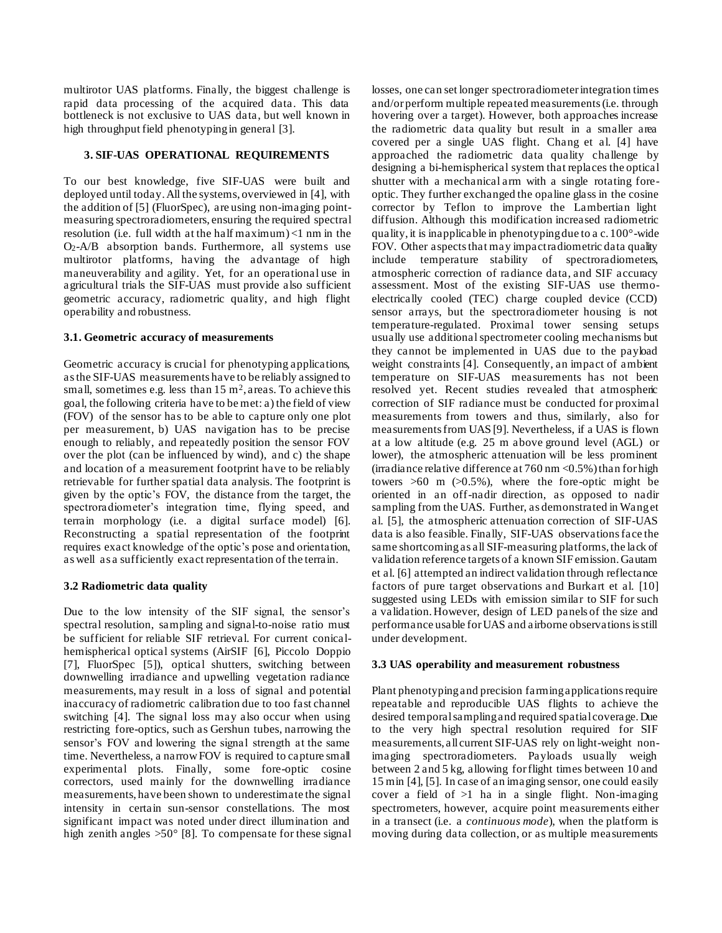multirotor UAS platforms. Finally, the biggest challenge is rapid data processing of the acquired data. This data bottleneck is not exclusive to UAS data, but well known in high throughput field phenotyping in general [3].

#### **3. SIF-UAS OPERATIONAL REQUIREMENTS**

To our best knowledge, five SIF-UAS were built and deployed until today.All the systems, overviewed in [4], with the addition of [5] (FluorSpec), are using non-imaging pointmeasuring spectroradiometers, ensuring the required spectral resolution (i.e. full width at the half maximum) <1 nm in the O2-A/B absorption bands. Furthermore, all systems use multirotor platforms, having the advantage of high maneuverability and agility. Yet, for an operational use in agricultural trials the SIF-UAS must provide also sufficient geometric accuracy, radiometric quality, and high flight operability and robustness.

#### **3.1. Geometric accuracy of measurements**

Geometric accuracy is crucial for phenotyping applications, as the SIF-UAS measurements have to be reliably assigned to small, sometimes e.g. less than  $15 \text{ m}^2$ , areas. To achieve this goal, the following criteria have to be met: a) the field of view (FOV) of the sensor has to be able to capture only one plot per measurement, b) UAS navigation has to be precise enough to reliably, and repeatedly position the sensor FOV over the plot (can be influenced by wind), and c) the shape and location of a measurement footprint have to be reliably retrievable for further spatial data analysis. The footprint is given by the optic's FOV, the distance from the target, the spectroradiometer's integration time, flying speed, and terrain morphology (i.e. a digital surface model) [6]. Reconstructing a spatial representation of the footprint requires exact knowledge of the optic's pose and orientation, as well as a sufficiently exact representation of the terrain.

## **3.2 Radiometric data quality**

Due to the low intensity of the SIF signal, the sensor's spectral resolution, sampling and signal-to-noise ratio must be sufficient for reliable SIF retrieval. For current conicalhemispherical optical systems (AirSIF [6], Piccolo Doppio [7], FluorSpec [5]), optical shutters, switching between downwelling irradiance and upwelling vegetation radiance measurements, may result in a loss of signal and potential inaccuracy of radiometric calibration due to too fast channel switching [4]. The signal loss may also occur when using restricting fore-optics, such as Gershun tubes, narrowing the sensor's FOV and lowering the signal strength at the same time. Nevertheless, a narrow FOV is required to capture small experimental plots. Finally, some fore-optic cosine correctors, used mainly for the downwelling irradiance measurements, have been shown to underestimate the signal intensity in certain sun-sensor constellations. The most significant impact was noted under direct illumination and high zenith angles >50° [8]. To compensate for these signal losses, one can set longer spectroradiometer integration times and/or perform multiple repeated measurements (i.e. through hovering over a target). However, both approaches increase the radiometric data quality but result in a smaller area covered per a single UAS flight. Chang et al. [4] have approached the radiometric data quality challenge by designing a bi-hemispherical system that replaces the optical shutter with a mechanical arm with a single rotating foreoptic. They further exchanged the opaline glass in the cosine corrector by Teflon to improve the Lambertian light diffusion. Although this modification increased radiometric quality, it is inapplicable in phenotyping due to a c. 100°-wide FOV. Other aspects that may impact radiometric data quality include temperature stability of spectroradiometers, atmospheric correction of ra diance data, and SIF accuracy assessment. Most of the existing SIF-UAS use thermoelectrically cooled (TEC) charge coupled device (CCD) sensor arrays, but the spectroradiometer housing is not temperature-regulated. Proximal tower sensing setups usually use additional spectrometer cooling mechanisms but they cannot be implemented in UAS due to the payload weight constraints [4]. Consequently, an impact of ambient temperature on SIF-UAS measurements has not been resolved yet. Recent studies revealed that atmospheric correction of SIF radiance must be conducted for proximal measurements from towers and thus, similarly, also for measurements from UAS [9]. Nevertheless, if a UAS is flown at a low altitude (e.g. 25 m above ground level (AGL) or lower), the atmospheric attenuation will be less prominent (irradiance relative difference at  $760 \text{ nm} < 0.5\%$ ) than for high towers  $>60$  m  $(>0.5\%)$ , where the fore-optic might be oriented in an off-nadir direction, as opposed to nadir sampling from the UAS. Further, as demonstrated in Wang et al. [5], the atmospheric attenuation correction of SIF-UAS data is also feasible. Finally, SIF-UAS observations face the same shortcoming as all SIF-measuring platforms, the lack of validation reference targets of a known SIF emission. Gautam et al. [6] attempted an indirect validation through reflectance factors of pure target observations and Burkart et al. [10] suggested using LEDs with emission similar to SIF for such a validation. However, design of LED panels of the size and performance usable for UAS and airborne observations is still under development.

#### **3.3 UAS operability and measurement robustness**

Plant phenotyping and precision farming applications require repeatable and reproducible UAS flights to achieve the desired temporal sampling and required spatial coverage. Due to the very high spectral resolution required for SIF measurements, all current SIF-UAS rely on light-weight nonimaging spectroradiometers. Payloads usually weigh between 2 and 5 kg, allowing for flight times between 10 and 15 min [4], [5]. In case of an imaging sensor, one could easily cover a field of  $>1$  ha in a single flight. Non-imaging spectrometers, however, acquire point measurements either in a transect (i.e. a *continuous mode*), when the platform is moving during data collection, or as multiple measurements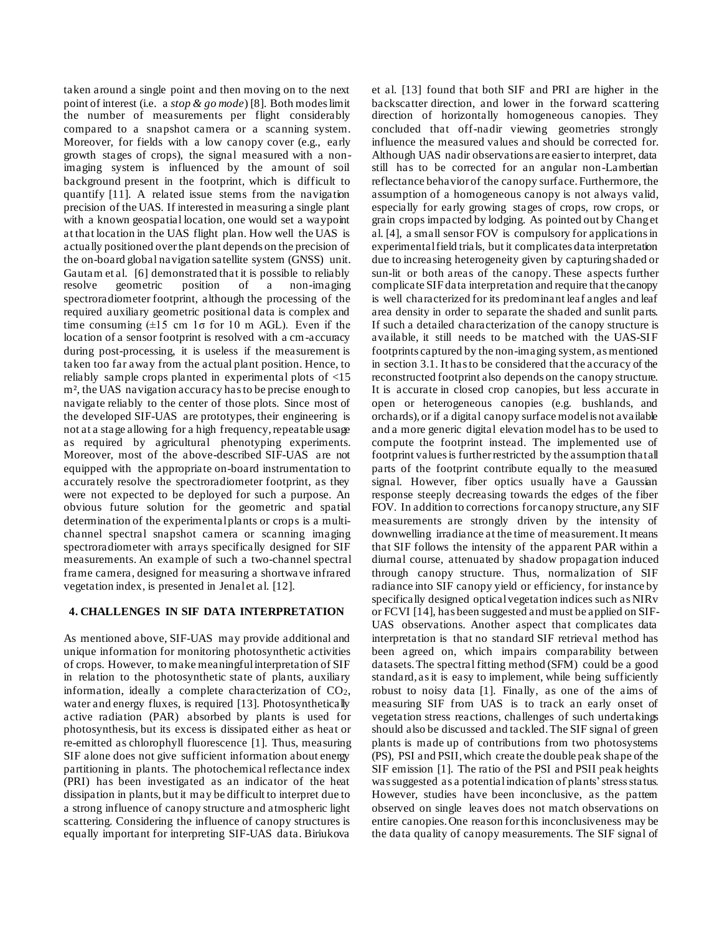taken around a single point and then moving on to the next point of interest (i.e. a *stop & go mode*) [8]. Both modes limit the number of measurements per flight considerably compared to a snapshot camera or a scanning system. Moreover, for fields with a low canopy cover (e.g., early growth stages of crops), the signal measured with a nonimaging system is influenced by the amount of soil background present in the footprint, which is difficult to quantify [11]. A related issue stems from the navigation precision of the UAS. If interested in measuring a single plant with a known geospatial location, one would set a waypoint at that location in the UAS flight plan. How well the UAS is actually positioned over the plant depends on the precision of the on-board global navigation satellite system (GNSS) unit. Gautam et al. [6] demonstrated that it is possible to reliably resolve geometric position of a non-imaging spectroradiometer footprint, although the processing of the required auxiliary geometric positional data is complex and time consuming  $(\pm 15 \text{ cm } 1\sigma \text{ for } 10 \text{ m } \text{AGL})$ . Even if the location of a sensor footprint is resolved with a cm-accuracy during post-processing, it is useless if the measurement is taken too far away from the actual plant position. Hence, to reliably sample crops planted in experimental plots of <15 m², the UAS navigation accuracy has to be precise enough to navigate reliably to the center of those plots. Since most of the developed SIF-UAS are prototypes, their engineering is not at a stage allowing for a high frequency, repeatable usage as required by agricultural phenotyping experiments. Moreover, most of the above-described SIF-UAS are not equipped with the appropriate on-board instrumentation to accurately resolve the spectroradiometer footprint, as they were not expected to be deployed for such a purpose. An obvious future solution for the geometric and spatial determination of the experimental plants or crops is a multichannel spectral snapshot camera or scanning imaging spectroradiometer with arrays specifically designed for SIF measurements. An example of such a two-channel spectral frame camera, designed for measuring a shortwave infrared vegetation index, is presented in Jenal et al. [12].

## **4. CHALLENGES IN SIF DATA INTERPRETATION**

As mentioned above, SIF-UAS may provide additional and unique information for monitoring photosynthetic activities of crops. However, to make meaningful interpretation of SIF in relation to the photosynthetic state of plants, auxiliary information, ideally a complete characterization of CO2, water and energy fluxes, is required [13]. Photosynthetically active radiation (PAR) absorbed by plants is used for photosynthesis, but its excess is dissipated either as heat or re-emitted as chlorophyll fluorescence [1]. Thus, measuring SIF alone does not give sufficient information about energy partitioning in plants. The photochemical reflectance index (PRI) has been investigated as an indicator of the heat dissipation in plants, but it may be difficult to interpret due to a strong influence of canopy structure and atmospheric light scattering. Considering the influence of canopy structures is equally important for interpreting SIF-UAS data. Biriukova

et al. [13] found that both SIF and PRI are higher in the backscatter direction, and lower in the forward scattering direction of horizontally homogeneous canopies. They concluded that off-nadir viewing geometries strongly influence the measured values and should be corrected for. Although UAS nadir observations are easier to interpret, data still has to be corrected for an angular non-Lambertian reflectance behavior of the canopy surface. Furthermore, the assumption of a homogeneous canopy is not always valid, especially for early growing stages of crops, row crops, or grain crops impacted by lodging. As pointed out by Chang et al. [4], a small sensor FOV is compulsory for applications in experimental field trials, but it complicates data interpretation due to increasing heterogeneity given by capturing shaded or sun-lit or both areas of the canopy. These aspects further complicate SIF data interpretation and require that the canopy is well characterized for its predominant leaf angles and leaf area density in order to separate the shaded and sunlit parts. If such a detailed characterization of the canopy structure is available, it still needs to be matched with the UAS-SIF footprints captured by the non-imaging system, as mentioned in section 3.1. It has to be considered that the accuracy of the reconstructed footprint also depends on the canopy structure. It is accurate in closed crop canopies, but less accurate in open or heterogeneous canopies (e.g. bushlands, and orchards), or if a digital canopy surface model is not available and a more generic digital elevation model has to be used to compute the footprint instead. The implemented use of footprint values is further restricted by the assumption that all parts of the footprint contribute equally to the measured signal. However, fiber optics usually have a Gaussian response steeply decreasing towards the edges of the fiber FOV. In addition to corrections for canopy structure, any SIF measurements are strongly driven by the intensity of downwelling irradiance at the time of measurement. It means that SIF follows the intensity of the apparent PAR within a diurnal course, attenuated by shadow propagation induced through canopy structure. Thus, normalization of SIF radiance into SIF canopy yield or efficiency, for instance by specifically designed optical vegetation indices such as NIRv or FCVI [14], has been suggested and must be applied on SIF-UAS observations. Another aspect that complicates data interpretation is that no standard SIF retrieval method has been agreed on, which impairs comparability between datasets. The spectral fitting method (SFM) could be a good standard, as it is easy to implement, while being sufficiently robust to noisy data [1]. Finally, as one of the aims of measuring SIF from UAS is to track an early onset of vegetation stress reactions, challenges of such undertakings should also be discussed and tackled. The SIF signal of green plants is made up of contributions from two photosystems (PS), PSI and PSII, which create the double peak shape of the SIF emission [1]. The ratio of the PSI and PSII peak heights was suggested as a potentialindication of plants' stress status. However, studies have been inconclusive, as the pattem observed on single leaves does not match observations on entire canopies. One reason for this inconclusiveness may be the data quality of canopy measurements. The SIF signal of